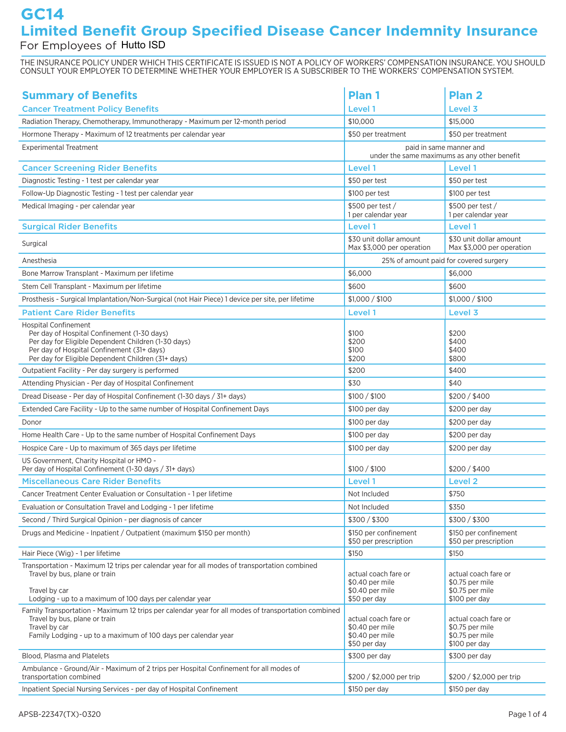# **GC14 Limited Benefit Group Specified Disease Cancer Indemnity Insurance**

### For Employees of Hutto ISD

THE INSURANCE POLICY UNDER WHICH THIS CERTIFICATE IS ISSUED IS NOT A POLICY OF WORKERS' COMPENSATION INSURANCE. YOU SHOULD CONSULT YOUR EMPLOYER TO DETERMINE WHETHER YOUR EMPLOYER IS A SUBSCRIBER TO THE WORKERS' COMPENSATION SYSTEM.

| <b>Summary of Benefits</b>                                                                                                                                                                                                            | Plan 1                                                                                                                                                    | Plan <sub>2</sub>                                                           |  |  |  |
|---------------------------------------------------------------------------------------------------------------------------------------------------------------------------------------------------------------------------------------|-----------------------------------------------------------------------------------------------------------------------------------------------------------|-----------------------------------------------------------------------------|--|--|--|
| <b>Cancer Treatment Policy Benefits</b>                                                                                                                                                                                               | Level 1                                                                                                                                                   | Level 3                                                                     |  |  |  |
| Radiation Therapy, Chemotherapy, Immunotherapy - Maximum per 12-month period                                                                                                                                                          | \$10,000                                                                                                                                                  | \$15,000                                                                    |  |  |  |
| Hormone Therapy - Maximum of 12 treatments per calendar year                                                                                                                                                                          | \$50 per treatment                                                                                                                                        | \$50 per treatment                                                          |  |  |  |
| <b>Experimental Treatment</b>                                                                                                                                                                                                         | paid in same manner and<br>under the same maximums as any other benefit                                                                                   |                                                                             |  |  |  |
| <b>Cancer Screening Rider Benefits</b>                                                                                                                                                                                                | Level 1                                                                                                                                                   | Level 1                                                                     |  |  |  |
| Diagnostic Testing - 1 test per calendar year                                                                                                                                                                                         | \$50 per test                                                                                                                                             | \$50 per test                                                               |  |  |  |
| Follow-Up Diagnostic Testing - 1 test per calendar year                                                                                                                                                                               | \$100 per test                                                                                                                                            | \$100 per test                                                              |  |  |  |
| Medical Imaging - per calendar year                                                                                                                                                                                                   | \$500 per test /<br>1 per calendar year                                                                                                                   | \$500 per test /<br>1 per calendar year                                     |  |  |  |
| <b>Surgical Rider Benefits</b>                                                                                                                                                                                                        | Level 1                                                                                                                                                   | Level 1                                                                     |  |  |  |
| Surgical                                                                                                                                                                                                                              | \$30 unit dollar amount<br>\$30 unit dollar amount<br>Max \$3,000 per operation<br>Max \$3,000 per operation                                              |                                                                             |  |  |  |
| Anesthesia                                                                                                                                                                                                                            | 25% of amount paid for covered surgery                                                                                                                    |                                                                             |  |  |  |
| Bone Marrow Transplant - Maximum per lifetime                                                                                                                                                                                         | \$6,000                                                                                                                                                   | \$6,000                                                                     |  |  |  |
| Stem Cell Transplant - Maximum per lifetime                                                                                                                                                                                           | \$600                                                                                                                                                     | \$600                                                                       |  |  |  |
| Prosthesis - Surgical Implantation/Non-Surgical (not Hair Piece) 1 device per site, per lifetime                                                                                                                                      | \$1,000 / \$100                                                                                                                                           | \$1,000 / \$100                                                             |  |  |  |
| <b>Patient Care Rider Benefits</b>                                                                                                                                                                                                    | Level 1                                                                                                                                                   | Level 3                                                                     |  |  |  |
| <b>Hospital Confinement</b><br>Per day of Hospital Confinement (1-30 days)<br>Per day for Eligible Dependent Children (1-30 days)<br>Per day of Hospital Confinement (31+ days)<br>Per day for Eligible Dependent Children (31+ days) | \$200<br>\$400<br>\$400<br>\$800                                                                                                                          |                                                                             |  |  |  |
| Outpatient Facility - Per day surgery is performed                                                                                                                                                                                    | \$200                                                                                                                                                     | \$400                                                                       |  |  |  |
| Attending Physician - Per day of Hospital Confinement                                                                                                                                                                                 | \$30                                                                                                                                                      | \$40                                                                        |  |  |  |
| Dread Disease - Per day of Hospital Confinement (1-30 days / 31+ days)                                                                                                                                                                | \$100 / \$100                                                                                                                                             | \$200/\$400                                                                 |  |  |  |
| Extended Care Facility - Up to the same number of Hospital Confinement Days                                                                                                                                                           | \$100 per day                                                                                                                                             | \$200 per day                                                               |  |  |  |
| Donor                                                                                                                                                                                                                                 | \$100 per day                                                                                                                                             | \$200 per day                                                               |  |  |  |
| Home Health Care - Up to the same number of Hospital Confinement Days                                                                                                                                                                 | \$100 per day                                                                                                                                             | \$200 per day                                                               |  |  |  |
| Hospice Care - Up to maximum of 365 days per lifetime                                                                                                                                                                                 | \$100 per day                                                                                                                                             | \$200 per day                                                               |  |  |  |
| US Government, Charity Hospital or HMO -<br>Per day of Hospital Confinement (1-30 days / 31+ days)                                                                                                                                    | \$100 / \$100                                                                                                                                             | \$200 / \$400                                                               |  |  |  |
| <b>Miscellaneous Care Rider Benefits</b>                                                                                                                                                                                              | Level 1                                                                                                                                                   | <b>Level 2</b>                                                              |  |  |  |
| Cancer Treatment Center Evaluation or Consultation - 1 per lifetime                                                                                                                                                                   | Not Included                                                                                                                                              | \$750                                                                       |  |  |  |
| Evaluation or Consultation Travel and Lodging - 1 per lifetime                                                                                                                                                                        | Not Included                                                                                                                                              | \$350                                                                       |  |  |  |
| Second / Third Surgical Opinion - per diagnosis of cancer                                                                                                                                                                             | \$300/\$300                                                                                                                                               | \$300/\$300                                                                 |  |  |  |
| Drugs and Medicine - Inpatient / Outpatient (maximum \$150 per month)                                                                                                                                                                 | \$150 per confinement<br>\$50 per prescription                                                                                                            | \$150 per confinement<br>\$50 per prescription                              |  |  |  |
| Hair Piece (Wig) - 1 per lifetime                                                                                                                                                                                                     | \$150                                                                                                                                                     | \$150                                                                       |  |  |  |
| Transportation - Maximum 12 trips per calendar year for all modes of transportation combined<br>Travel by bus, plane or train<br>Travel by car<br>Lodging - up to a maximum of 100 days per calendar year                             | actual coach fare or<br>\$0.40 per mile<br>\$0.40 per mile<br>\$50 per day                                                                                | actual coach fare or<br>\$0.75 per mile<br>\$0.75 per mile<br>\$100 per day |  |  |  |
| Family Transportation - Maximum 12 trips per calendar year for all modes of transportation combined<br>Travel by bus, plane or train<br>Travel by car<br>Family Lodging - up to a maximum of 100 days per calendar year               | actual coach fare or<br>actual coach fare or<br>\$0.40 per mile<br>\$0.75 per mile<br>\$0.40 per mile<br>\$0.75 per mile<br>\$50 per day<br>\$100 per day |                                                                             |  |  |  |
| Blood, Plasma and Platelets                                                                                                                                                                                                           | \$300 per day                                                                                                                                             | \$300 per day                                                               |  |  |  |
| Ambulance - Ground/Air - Maximum of 2 trips per Hospital Confinement for all modes of<br>transportation combined                                                                                                                      | \$200 / \$2,000 per trip                                                                                                                                  | \$200 / \$2,000 per trip                                                    |  |  |  |
| Inpatient Special Nursing Services - per day of Hospital Confinement                                                                                                                                                                  | \$150 per day<br>\$150 per day                                                                                                                            |                                                                             |  |  |  |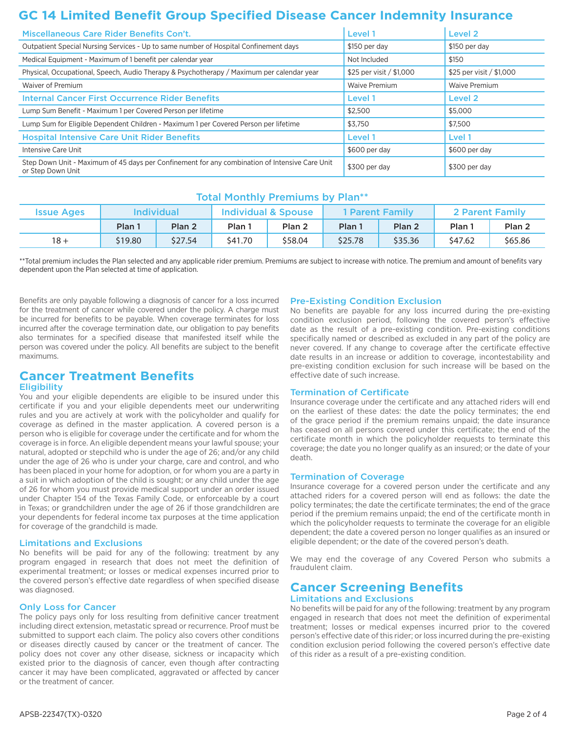### **GC 14 Limited Benefit Group Specified Disease Cancer Indemnity Insurance**

| Miscellaneous Care Rider Benefits Con't.                                                                            | Level 1                  | <b>Level 2</b>           |  |
|---------------------------------------------------------------------------------------------------------------------|--------------------------|--------------------------|--|
| Outpatient Special Nursing Services - Up to same number of Hospital Confinement days                                | \$150 per day            | \$150 per day            |  |
| Medical Equipment - Maximum of 1 benefit per calendar year                                                          | Not Included             | \$150                    |  |
| Physical, Occupational, Speech, Audio Therapy & Psychotherapy / Maximum per calendar year                           | \$25 per visit / \$1,000 | \$25 per visit / \$1,000 |  |
| Waiver of Premium                                                                                                   | <b>Waive Premium</b>     | <b>Waive Premium</b>     |  |
| <b>Internal Cancer First Occurrence Rider Benefits</b>                                                              | Level 1                  | <b>Level 2</b>           |  |
| Lump Sum Benefit - Maximum 1 per Covered Person per lifetime                                                        | \$2,500                  | \$5,000                  |  |
| Lump Sum for Eligible Dependent Children - Maximum 1 per Covered Person per lifetime                                | \$3,750                  | \$7,500                  |  |
| <b>Hospital Intensive Care Unit Rider Benefits</b>                                                                  | Level 1                  | Lvel 1                   |  |
| Intensive Care Unit                                                                                                 | \$600 per day            | \$600 per day            |  |
| Step Down Unit - Maximum of 45 days per Confinement for any combination of Intensive Care Unit<br>or Step Down Unit | \$300 per day            | \$300 per day            |  |

### Total Monthly Premiums by Plan\*\*

| <b>Issue Ages</b> | <b>Individual</b> |                   | <b>Individual &amp; Spouse</b> |                   | 1 Parent Family |                   | 2 Parent Family |                   |
|-------------------|-------------------|-------------------|--------------------------------|-------------------|-----------------|-------------------|-----------------|-------------------|
|                   | Plan 1            | Plan <sub>2</sub> | Plan 1                         | Plan <sub>2</sub> | Plan 1          | Plan <sub>2</sub> | Plan            | Plan <sub>2</sub> |
| $18 +$            | \$19.80           | \$27.54           | \$41.70                        | \$58.04           | \$25.78         | \$35.36           | \$47.62         | \$65.86           |

\*\*Total premium includes the Plan selected and any applicable rider premium. Premiums are subject to increase with notice. The premium and amount of benefits vary dependent upon the Plan selected at time of application.

Benefits are only payable following a diagnosis of cancer for a loss incurred for the treatment of cancer while covered under the policy. A charge must be incurred for benefits to be payable. When coverage terminates for loss incurred after the coverage termination date, our obligation to pay benefits also terminates for a specified disease that manifested itself while the person was covered under the policy. All benefits are subject to the benefit maximums.

### **Cancer Treatment Benefits**

#### **Eligibility**

You and your eligible dependents are eligible to be insured under this certificate if you and your eligible dependents meet our underwriting rules and you are actively at work with the policyholder and qualify for coverage as defined in the master application. A covered person is a person who is eligible for coverage under the certificate and for whom the coverage is in force. An eligible dependent means your lawful spouse; your natural, adopted or stepchild who is under the age of 26; and/or any child under the age of 26 who is under your charge, care and control, and who has been placed in your home for adoption, or for whom you are a party in a suit in which adoption of the child is sought; or any child under the age of 26 for whom you must provide medical support under an order issued under Chapter 154 of the Texas Family Code, or enforceable by a court in Texas; or grandchildren under the age of 26 if those grandchildren are your dependents for federal income tax purposes at the time application for coverage of the grandchild is made.

#### Limitations and Exclusions

No benefits will be paid for any of the following: treatment by any program engaged in research that does not meet the definition of experimental treatment; or losses or medical expenses incurred prior to the covered person's effective date regardless of when specified disease was diagnosed.

#### Only Loss for Cancer

The policy pays only for loss resulting from definitive cancer treatment including direct extension, metastatic spread or recurrence. Proof must be submitted to support each claim. The policy also covers other conditions or diseases directly caused by cancer or the treatment of cancer. The policy does not cover any other disease, sickness or incapacity which existed prior to the diagnosis of cancer, even though after contracting cancer it may have been complicated, aggravated or affected by cancer or the treatment of cancer.

#### Pre-Existing Condition Exclusion

No benefits are payable for any loss incurred during the pre-existing condition exclusion period, following the covered person's effective date as the result of a pre-existing condition. Pre-existing conditions specifically named or described as excluded in any part of the policy are never covered. If any change to coverage after the certificate effective date results in an increase or addition to coverage, incontestability and pre-existing condition exclusion for such increase will be based on the effective date of such increase.

#### Termination of Certificate

Insurance coverage under the certificate and any attached riders will end on the earliest of these dates: the date the policy terminates; the end of the grace period if the premium remains unpaid; the date insurance has ceased on all persons covered under this certificate; the end of the certificate month in which the policyholder requests to terminate this coverage; the date you no longer qualify as an insured; or the date of your death.

#### Termination of Coverage

Insurance coverage for a covered person under the certificate and any attached riders for a covered person will end as follows: the date the policy terminates; the date the certificate terminates; the end of the grace period if the premium remains unpaid; the end of the certificate month in which the policyholder requests to terminate the coverage for an eligible dependent; the date a covered person no longer qualifies as an insured or eligible dependent; or the date of the covered person's death.

We may end the coverage of any Covered Person who submits a fraudulent claim.

### **Cancer Screening Benefits** Limitations and Exclusions

No benefits will be paid for any of the following: treatment by any program engaged in research that does not meet the definition of experimental treatment; losses or medical expenses incurred prior to the covered person's effective date of this rider; or loss incurred during the pre-existing condition exclusion period following the covered person's effective date of this rider as a result of a pre-existing condition.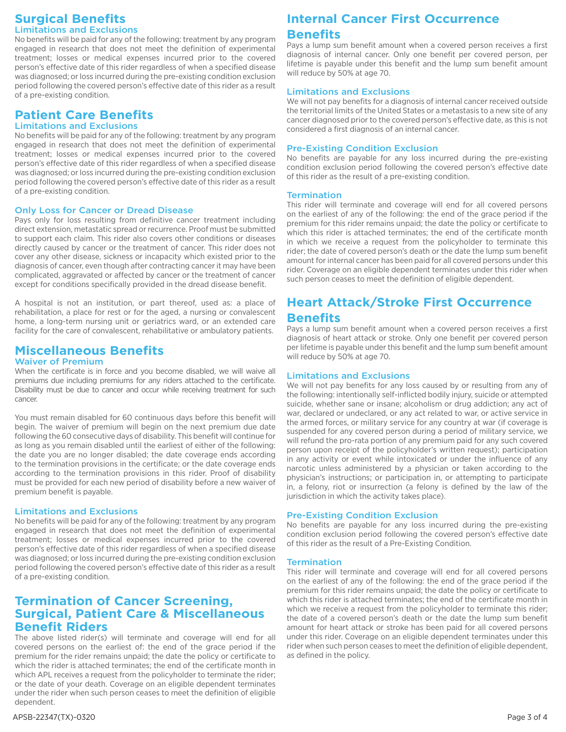# **Surgical Benefits**

#### Limitations and Exclusions

No benefits will be paid for any of the following: treatment by any program engaged in research that does not meet the definition of experimental treatment; losses or medical expenses incurred prior to the covered person's effective date of this rider regardless of when a specified disease was diagnosed; or loss incurred during the pre-existing condition exclusion period following the covered person's effective date of this rider as a result of a pre-existing condition.

# **Patient Care Benefits**

#### Limitations and Exclusions

No benefits will be paid for any of the following: treatment by any program engaged in research that does not meet the definition of experimental treatment; losses or medical expenses incurred prior to the covered person's effective date of this rider regardless of when a specified disease was diagnosed; or loss incurred during the pre-existing condition exclusion period following the covered person's effective date of this rider as a result of a pre-existing condition.

#### Only Loss for Cancer or Dread Disease

Pays only for loss resulting from definitive cancer treatment including direct extension, metastatic spread or recurrence. Proof must be submitted to support each claim. This rider also covers other conditions or diseases directly caused by cancer or the treatment of cancer. This rider does not cover any other disease, sickness or incapacity which existed prior to the diagnosis of cancer, even though after contracting cancer it may have been complicated, aggravated or affected by cancer or the treatment of cancer except for conditions specifically provided in the dread disease benefit.

A hospital is not an institution, or part thereof, used as: a place of rehabilitation, a place for rest or for the aged, a nursing or convalescent home, a long-term nursing unit or geriatrics ward, or an extended care facility for the care of convalescent, rehabilitative or ambulatory patients.

### **Miscellaneous Benefits**

#### Waiver of Premium

When the certificate is in force and you become disabled, we will waive all premiums due including premiums for any riders attached to the certificate. Disability must be due to cancer and occur while receiving treatment for such cancer.

You must remain disabled for 60 continuous days before this benefit will begin. The waiver of premium will begin on the next premium due date following the 60 consecutive days of disability. This benefit will continue for as long as you remain disabled until the earliest of either of the following: the date you are no longer disabled; the date coverage ends according to the termination provisions in the certificate; or the date coverage ends according to the termination provisions in this rider. Proof of disability must be provided for each new period of disability before a new waiver of premium benefit is payable.

#### Limitations and Exclusions

No benefits will be paid for any of the following: treatment by any program engaged in research that does not meet the definition of experimental treatment; losses or medical expenses incurred prior to the covered person's effective date of this rider regardless of when a specified disease was diagnosed; or loss incurred during the pre-existing condition exclusion period following the covered person's effective date of this rider as a result of a pre-existing condition.

### **Termination of Cancer Screening, Surgical, Patient Care & Miscellaneous Benefit Riders**

The above listed rider(s) will terminate and coverage will end for all covered persons on the earliest of: the end of the grace period if the premium for the rider remains unpaid; the date the policy or certificate to which the rider is attached terminates; the end of the certificate month in which APL receives a request from the policyholder to terminate the rider; or the date of your death. Coverage on an eligible dependent terminates under the rider when such person ceases to meet the definition of eligible dependent.

### **Internal Cancer First Occurrence Benefits**

Pays a lump sum benefit amount when a covered person receives a first diagnosis of internal cancer. Only one benefit per covered person, per lifetime is payable under this benefit and the lump sum benefit amount will reduce by 50% at age 70.

#### Limitations and Exclusions

We will not pay benefits for a diagnosis of internal cancer received outside the territorial limits of the United States or a metastasis to a new site of any cancer diagnosed prior to the covered person's effective date, as this is not considered a first diagnosis of an internal cancer.

#### Pre-Existing Condition Exclusion

No benefits are payable for any loss incurred during the pre-existing condition exclusion period following the covered person's effective date of this rider as the result of a pre-existing condition.

#### Termination

This rider will terminate and coverage will end for all covered persons on the earliest of any of the following: the end of the grace period if the premium for this rider remains unpaid; the date the policy or certificate to which this rider is attached terminates; the end of the certificate month in which we receive a request from the policyholder to terminate this rider; the date of covered person's death or the date the lump sum benefit amount for internal cancer has been paid for all covered persons under this rider. Coverage on an eligible dependent terminates under this rider when such person ceases to meet the definition of eligible dependent.

### **Heart Attack/Stroke First Occurrence Benefits**

Pays a lump sum benefit amount when a covered person receives a first diagnosis of heart attack or stroke. Only one benefit per covered person per lifetime is payable under this benefit and the lump sum benefit amount will reduce by 50% at age 70.

#### Limitations and Exclusions

We will not pay benefits for any loss caused by or resulting from any of the following: intentionally self-inflicted bodily injury, suicide or attempted suicide, whether sane or insane; alcoholism or drug addiction; any act of war, declared or undeclared, or any act related to war, or active service in the armed forces, or military service for any country at war (if coverage is suspended for any covered person during a period of military service, we will refund the pro-rata portion of any premium paid for any such covered person upon receipt of the policyholder's written request); participation in any activity or event while intoxicated or under the influence of any narcotic unless administered by a physician or taken according to the physician's instructions; or participation in, or attempting to participate in, a felony, riot or insurrection (a felony is defined by the law of the jurisdiction in which the activity takes place).

#### Pre-Existing Condition Exclusion

No benefits are payable for any loss incurred during the pre-existing condition exclusion period following the covered person's effective date of this rider as the result of a Pre-Existing Condition.

#### **Termination**

This rider will terminate and coverage will end for all covered persons on the earliest of any of the following: the end of the grace period if the premium for this rider remains unpaid; the date the policy or certificate to which this rider is attached terminates; the end of the certificate month in which we receive a request from the policyholder to terminate this rider; the date of a covered person's death or the date the lump sum benefit amount for heart attack or stroke has been paid for all covered persons under this rider. Coverage on an eligible dependent terminates under this rider when such person ceases to meet the definition of eligible dependent, as defined in the policy.